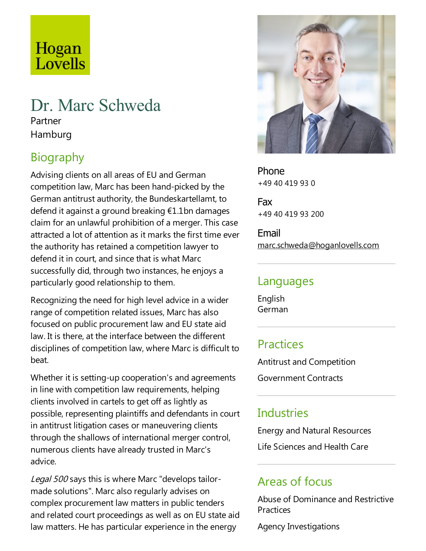## Hogan Lovells

# Dr. Marc Schweda

Partner Hamburg

## Biography

Advising clients on all areas of EU and German competition law, Marc has been hand-picked by the German antitrust authority, the Bundeskartellamt, to defend it against a ground breaking  $£1.1$ bn damages claim for an unlawful prohibition of a merger. This case attracted a lot of attention as it marks the first time ever the authority has retained a competition lawyer to defend it in court, and since that is what Marc successfully did, through two instances, he enjoys a particularly good relationship to them.

Recognizing the need for high level advice in a wider range of competition related issues, Marc has also focused on public procurement law and EU state aid law. It is there, at the interface between the different disciplines of competition law, where Marc is difficult to beat.

Whether it is setting-up cooperation's and agreements in line with competition law requirements, helping clients involved in cartels to get off as lightly as possible, representing plaintiffs and defendants in court in antitrust litigation cases or maneuvering clients through the shallows of international merger control, numerous clients have already trusted in Marc's advice.

Legal 500 says this is where Marc "develops tailormade solutions". Marc also regularly advises on complex procurement law matters in public tenders and related court proceedings as well as on EU state aid law matters. He has particular experience in the energy



Phone +49 40 419 93 0

Fax +49 40 419 93 200

Email marc.schweda@hoganlovells.com

#### Languages

English German

#### **Practices**

Antitrust and Competition

Government Contracts

#### **Industries**

Energy and Natural Resources Life Sciences and Health Care

#### Areas of focus

Abuse of Dominance and Restrictive **Practices** 

Agency Investigations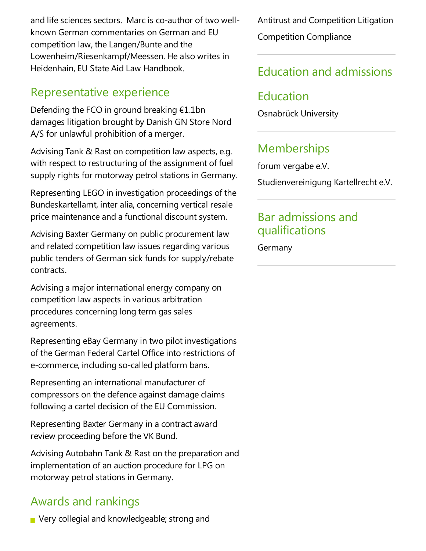and life sciences sectors. Marc is co-author of two wellknown German commentaries on German and EU competition law, the Langen/Bunte and the Lowenheim/Riesenkampf/Meessen. He also writes in Heidenhain, EU State Aid Law Handbook.

#### Representative experience

Defending the FCO in ground breaking  $£1.1$ bn damages litigation brought by Danish GN Store Nord A/S for unlawful prohibition of a merger.

Advising Tank & Rast on competition law aspects, e.g. with respect to restructuring of the assignment of fuel supply rights for motorway petrol stations in Germany.

Representing LEGO in investigation proceedings of the Bundeskartellamt, inter alia, concerning vertical resale price maintenance and a functional discount system.

Advising Baxter Germany on public procurement law and related competition law issues regarding various public tenders of German sick funds for supply/rebate contracts.

Advising a major international energy company on competition law aspects in various arbitration procedures concerning long term gas sales agreements.

Representing eBay Germany in two pilot investigations of the German Federal Cartel Officeinto restrictions of e-commerce, including so-called platform bans.

Representing an international manufacturer of compressors on the defence against damage claims following a cartel decision of the EU Commission.

Representing Baxter Germany in a contract award review proceeding before the VK Bund.

Advising Autobahn Tank & Rast on the preparation and implementation of an auction procedure for LPG on motorway petrol stations in Germany.

## Awards and rankings

Very collegial and knowledgeable; strong and

Antitrust and Competition Litigation Competition Compliance

#### Education and admissions

#### Education

Osnabrück University

## **Memberships**

forum vergabe e.V.

Studienvereinigung Kartellrecht e.V.

#### Bar admissions and qualifications

Germany